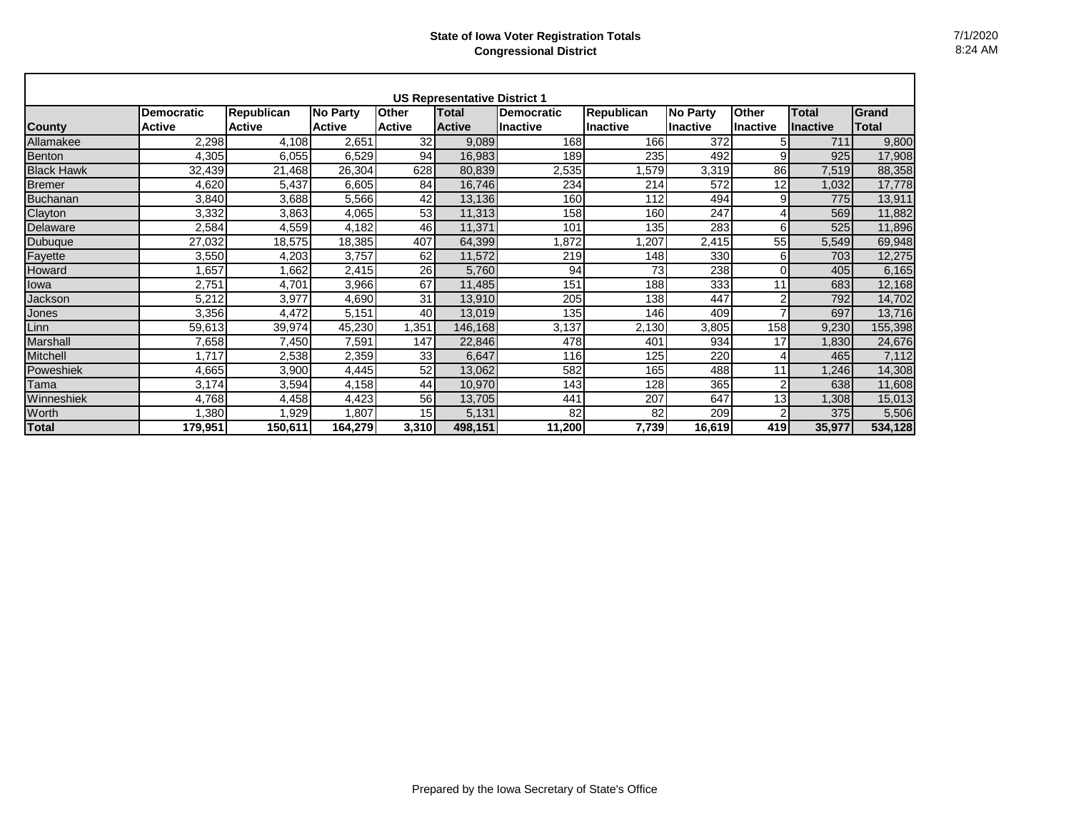|                   |                   |                   |                 |                 | <b>US Representative District 1</b> |                   |                   |                 |              |                 |         |
|-------------------|-------------------|-------------------|-----------------|-----------------|-------------------------------------|-------------------|-------------------|-----------------|--------------|-----------------|---------|
|                   | <b>Democratic</b> | <b>Republican</b> | <b>No Party</b> | <b>Other</b>    | <b>Total</b>                        | <b>Democratic</b> | <b>Republican</b> | <b>No Party</b> | <b>Other</b> | <b>Total</b>    | Grand   |
| <b>County</b>     | <b>Active</b>     | <b>Active</b>     | <b>Active</b>   | <b>Active</b>   | <b>Active</b>                       | <b>Inactive</b>   | <b>Inactive</b>   | <b>Inactive</b> | Inactive     | <b>Inactive</b> | Total   |
| Allamakee         | 2,298             | 4,108             | 2,651           | 32              | 9,089                               | 168               | 166               | 372             | 5            | 711             | 9,800   |
| Benton            | 4,305             | 6,055             | 6,529           | 94              | 16,983                              | 189               | 235               | 492             | 9            | 925             | 17,908  |
| <b>Black Hawk</b> | 32,439            | 21,468            | 26,304          | 628             | 80,839                              | 2,535             | ,579              | 3,319           | 86           | 7,519           | 88,358  |
| <b>Bremer</b>     | 4,620             | 5,437             | 6,605           | 84              | 16,746                              | 234               | 214               | 572             | 12           | 1,032           | 17,778  |
| Buchanan          | 3,840             | 3,688             | 5,566           | 42              | 13,136                              | 160               | 112               | 494             | 9            | 775             | 13,911  |
| Clayton           | 3,332             | 3,863             | 4,065           | 53              | 11,313                              | 158               | 160               | 247             | 4            | 569             | 11,882  |
| Delaware          | 2,584             | 4,559             | 4,182           | 46              | 11,371                              | 101               | 135               | 283             | 6            | 525             | 11,896  |
| Dubuque           | 27,032            | 18,575            | 18,385          | 407             | 64,399                              | ,872              | ,207              | 2,415           | 55           | 5,549           | 69,948  |
| Fayette           | 3,550             | 4,203             | 3,757           | 62              | 11,572                              | 219               | 148               | 330             | 6            | 703             | 12,275  |
| Howard            | 1,657             | 1,662             | 2,415           | 26              | 5,760                               | 94                | 73                | 238             | $\Omega$     | 405             | 6,165   |
| lowa              | 2,751             | 4,701             | 3,966           | 67              | 11,485                              | 151               | 188               | 333             | 11           | 683             | 12,168  |
| Jackson           | 5,212             | 3,977             | 4,690           | 31              | 13,910                              | 205               | 138               | 447             | 2            | 792             | 14,702  |
| Jones             | 3,356             | 4,472             | 5,151           | 40              | 13,019                              | 135               | 146               | 409             | 7            | 697             | 13,716  |
| Linn              | 59,613            | 39,974            | 45,230          | .351            | 146,168                             | 3,137             | 2,130             | 3,805           | 158          | 9,230           | 155,398 |
| Marshall          | 7,658             | 7,450             | 7,591           | 147             | 22,846                              | 478               | 401               | 934             | 17           | 1,830           | 24,676  |
| Mitchell          | 1.717             | 2,538             | 2,359           | 33              | 6,647                               | 116               | 125               | 220             | 4            | 465             | 7,112   |
| Poweshiek         | 4,665             | 3,900             | 4,445           | 52              | 13,062                              | 582               | 165               | 488             | 11           | .246            | 14,308  |
| Tama              | 3,174             | 3,594             | 4,158           | 44              | 10,970                              | 143               | 128               | 365             | 2            | 638             | 11,608  |
| Winneshiek        | 4,768             | 4,458             | 4,423           | 56              | 13,705                              | 441               | 207               | 647             | 13           | .308            | 15,013  |
| Worth             | .380              | 1,929             | 1,807           | 15 <sup>1</sup> | 5,131                               | 82                | 82                | 209             | 2            | 375             | 5,506   |
| <b>Total</b>      | 179,951           | 150,611           | 164,279         | 3,310           | 498,151                             | 11,200            | 7,739             | 16,619          | 419          | 35,977          | 534,128 |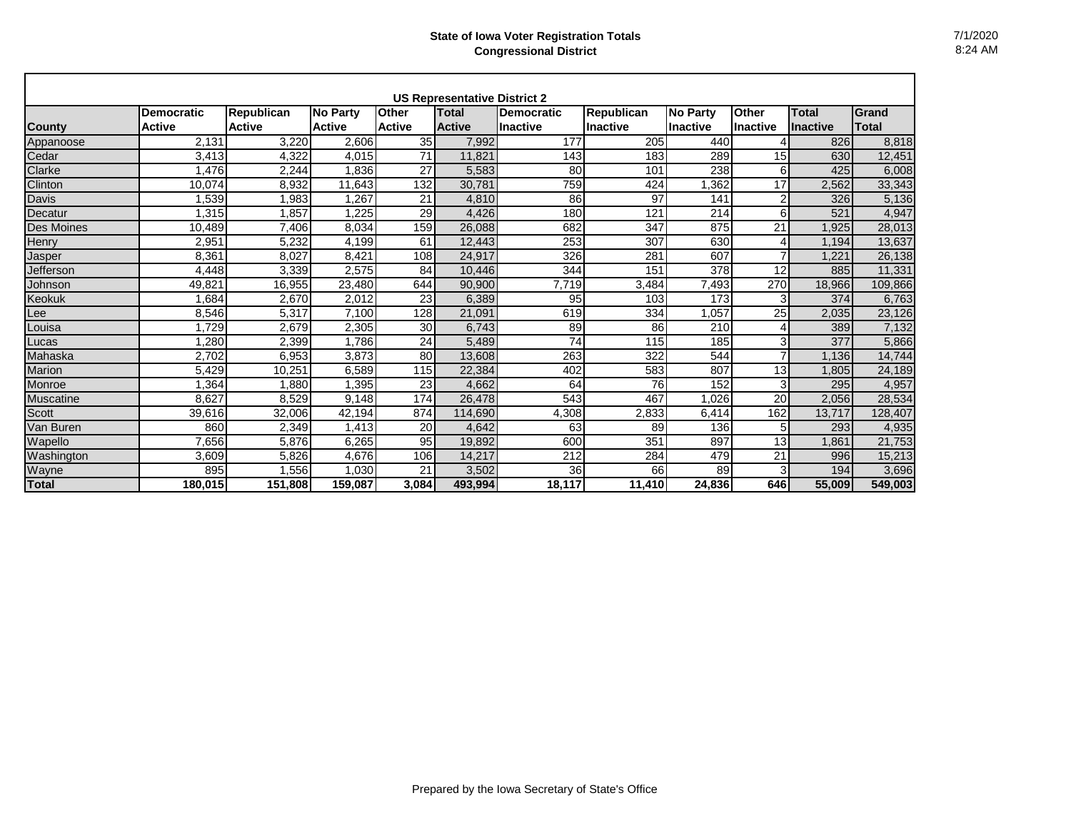|                  |                   |                   |                 |               | <b>US Representative District 2</b> |            |                   |                 |                 |                 |         |
|------------------|-------------------|-------------------|-----------------|---------------|-------------------------------------|------------|-------------------|-----------------|-----------------|-----------------|---------|
|                  | <b>Democratic</b> | <b>Republican</b> | <b>No Party</b> | <b>Other</b>  | <b>Total</b>                        | Democratic | <b>Republican</b> | <b>No Party</b> | <b>Other</b>    | Total           | Grand   |
| <b>County</b>    | <b>Active</b>     | <b>Active</b>     | <b>Active</b>   | <b>Active</b> | <b>Active</b>                       | Inactive   | <b>Inactive</b>   | <b>Inactive</b> | <b>Inactive</b> | <b>Inactive</b> | Total   |
| Appanoose        | 2.131             | 3,220             | 2,606           | 35            | 7,992                               | 177        | 205               | 440             |                 | 826             | 8,818   |
| Cedar            | 3,413             | 4,322             | 4,015           | 71            | 11.821                              | 143        | 183               | 289             | 15              | 630             | 12,451  |
| Clarke           | .476              | 2,244             | .836            | 27            | 5.583                               | 80         | 101               | 238             | 6               | 425             | 6,008   |
| Clinton          | 10.074            | 8,932             | 11,643          | 132           | 30.781                              | 759        | 424               | 1,362           | 17              | 2,562           | 33,343  |
| <b>Davis</b>     | ,539              | 1,983             | .267            | 21            | 4.810                               | 86         | 97                | 141             | $\overline{2}$  | 326             | 5,136   |
| Decatur          | .315              | 1,857             | .225            | 29            | 4,426                               | 180        | 121               | 214             | 6               | 521             | 4,947   |
| Des Moines       | 10,489            | 7.406             | 8,034           | 159           | 26.088                              | 682        | 347               | 875             | 21              | .925            | 28,013  |
| Henry            | 2,951             | 5,232             | 4,199           | 61            | 12,443                              | 253        | 307               | 630             | 4               | 1,194           | 13,637  |
| Jasper           | 8,361             | 8,027             | 8,421           | 108           | 24,917                              | 326        | 281               | 607             | $\overline{7}$  | 1,221           | 26,138  |
| Jefferson        | 4,448             | 3,339             | 2,575           | 84            | 10,446                              | 344        | 151               | 378             | 12              | 885             | 11,331  |
| Johnson          | 49,821            | 16,955            | 23,480          | 644           | 90,900                              | 7,719      | 3,484             | 7,493           | 270             | 18,966          | 109,866 |
| <b>Keokuk</b>    | .684              | 2,670             | 2,012           | 23            | 6.389                               | 95         | 103               | 173             | 3               | 374             | 6,763   |
| Lee              | 8,546             | 5,317             | 7,100           | 128           | 21,091                              | 619        | 334               | 1,057           | 25              | 2,035           | 23,126  |
| Louisa           | ,729              | 2.679             | 2,305           | 30            | 6.743                               | 89         | 86                | 210             | 4               | 389             | 7,132   |
| Lucas            | .280              | 2,399             | 1.786           | 24            | 5,489                               | 74         | 115               | 185             | 3               | 377             | 5,866   |
| Mahaska          | 2,702             | 6.953             | 3,873           | 80            | 13.608                              | 263        | 322               | 544             |                 | 1.136           | 14,744  |
| <b>Marion</b>    | 5,429             | 10,251            | 6,589           | 115           | 22,384                              | 402        | 583               | 807             | 13              | 1.805           | 24,189  |
| Monroe           | .364              | 1.880             | .395            | 23            | 4.662                               | 64         | 76                | 152             | 3               | 295             | 4,957   |
| <b>Muscatine</b> | 8.627             | 8.529             | 9.148           | 174           | 26.478                              | 543        | 467               | 1.026           | 20              | 2,056           | 28,534  |
| Scott            | 39,616            | 32,006            | 42.194          | 874           | 114.690                             | 4,308      | 2,833             | 6,414           | 162             | 13.717          | 128,407 |
| Van Buren        | 860               | 2,349             | 1,413           | 20            | 4.642                               | 63         | 89                | 136             | 5               | 293             | 4,935   |
| Wapello          | 7.656             | 5.876             | 6,265           | 95            | 19.892                              | 600        | 351               | 897             | 13              | 1.861           | 21,753  |
| Washington       | 3,609             | 5,826             | 4.676           | 106           | 14,217                              | 212        | 284               | 479             | 21              | 996             | 15,213  |
| Wayne            | 895               | 1,556             | 1,030           | 21            | 3,502                               | 36         | 66                | 89              | 3               | 194             | 3,696   |
| <b>Total</b>     | 180.015           | 151.808           | 159.087         | 3.084         | 493,994                             | 18.117     | 11,410            | 24.836          | 646             | 55.009          | 549,003 |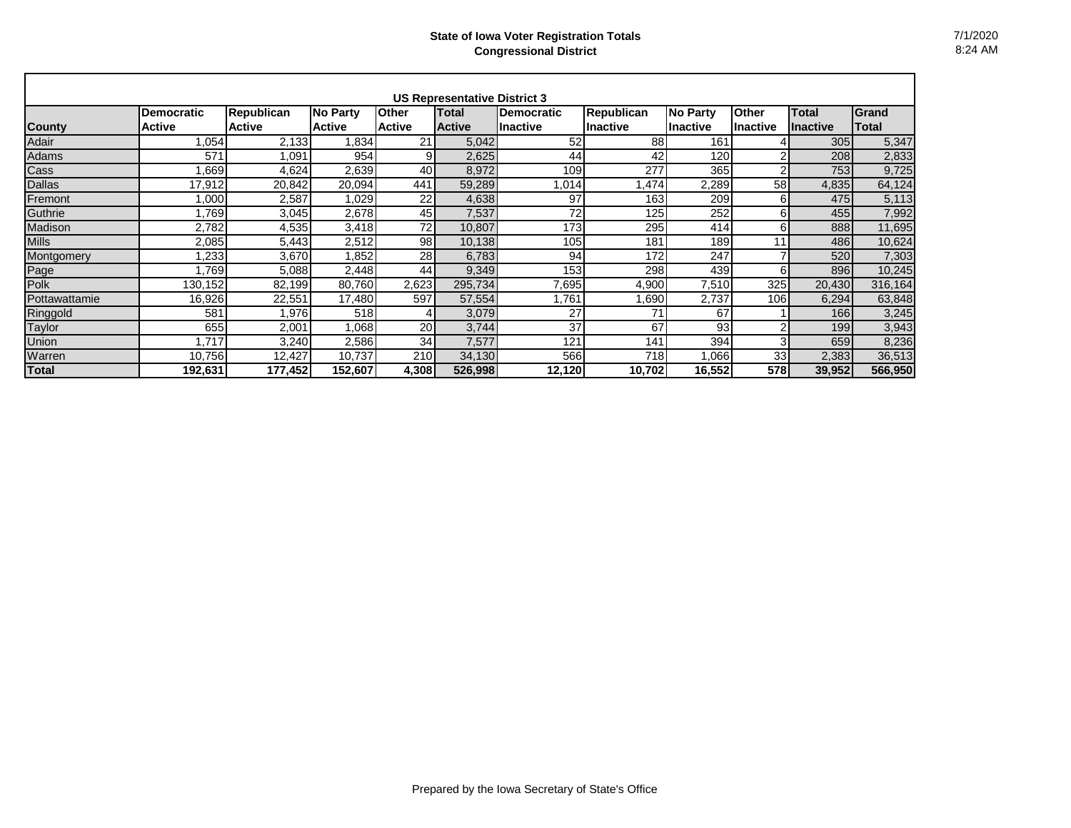|               |                   |                   |               |               | <b>US Representative District 3</b> |                   |                   |                 |           |                 |         |
|---------------|-------------------|-------------------|---------------|---------------|-------------------------------------|-------------------|-------------------|-----------------|-----------|-----------------|---------|
|               | <b>Democratic</b> | <b>Republican</b> | No Party      | <b>Other</b>  | Total                               | <b>Democratic</b> | <b>Republican</b> | <b>No Party</b> | Other     | <b>Total</b>    | Grand   |
| <b>County</b> | <b>Active</b>     | <b>Active</b>     | <b>Active</b> | <b>Active</b> | <b>Active</b>                       | Ilnactive         | Inactive          | Ilnactive       | lInactive | <b>Inactive</b> | Total   |
| Adair         | .054              | 2,133             | .834          | 21            | 5,042                               | 52                | 88                | 161             |           | 305             | 5,347   |
| Adams         | 571               | 1,091             | 954           | 9             | 2,625                               | 44                | 42                | 120             | 2         | 208             | 2,833   |
| Cass          | .669              | 4,624             | 2,639         | 40            | 8,972                               | 109               | 277               | 365             | 2         | 753             | 9,725   |
| <b>Dallas</b> | 17,912            | 20,842            | 20,094        | 441           | 59,289                              | 1,014             | A74, l            | 2,289           | 58        | 4,835           | 64,124  |
| Fremont       | 000,              | 2,587             | 1,029         | 22            | 4,638                               | 97                | 163               | 209             | 6         | 475             | 5,113   |
| Guthrie       | 1,769             | 3,045             | 2,678         | 45            | 7,537                               | 72                | 125               | 252             | 6         | 455             | 7,992   |
| Madison       | 2,782             | 4,535             | 3,418         | 72            | 10,807                              | 173               | 295               | 414             | 6         | 888             | 11,695  |
| <b>Mills</b>  | 2,085             | 5,443             | 2,512         | 98            | 10,138                              | 105               | 181               | 189             | 11        | 486             | 10,624  |
| Montgomery    | .233              | 3,670             | 1,852         | 28            | 6,783                               | 94                | 172               | 247             |           | 520             | 7,303   |
| Page          | .769              | 5,088             | 2,448         | 44            | 9,349                               | 153               | 298               | 439             | 6         | 896             | 10,245  |
| Polk          | 130,152           | 82,199            | 80,760        | 2,623         | 295,734                             | 7,695             | 4,900             | 7,510           | 325       | 20,430          | 316,164 |
| Pottawattamie | 16,926            | 22,551            | 17,480        | 597           | 57,554                              | .761              | ,690              | 2,737           | 106       | 6,294           | 63,848  |
| Ringgold      | 581               | 1,976             | 518           |               | 3,079                               | 27                | 71                | 67              |           | 166             | 3,245   |
| Taylor        | 655               | 2,001             | 1,068         | 20            | 3,744                               | 37                | 67                | 93              | 2         | 199             | 3,943   |
| Union         | 1.717             | 3,240             | 2,586         | 34            | 7,577                               | 121               | 141               | 394             | 3         | 659             | 8,236   |
| Warren        | 10,756            | 12,427            | 10,737        | 210           | 34,130                              | 566               | 718               | .066            | 33        | 2,383           | 36,513  |
| <b>Total</b>  | 192,631           | 177,452           | 152,607       | 4,308         | 526,998                             | 12,120            | 10,702            | 16,552          | 578I      | 39,952          | 566,950 |